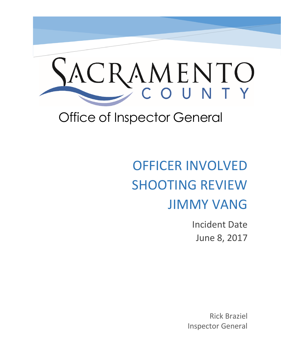

## Office of Inspector General

# OFFICER INVOLVED SHOOTING REVIEW JIMMY VANG

Incident Date June 8, 2017

Rick Braziel Inspector General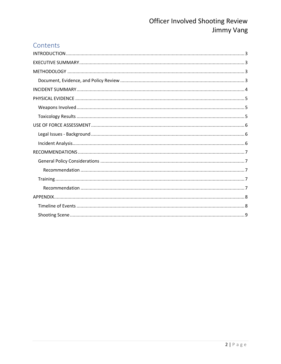## Contents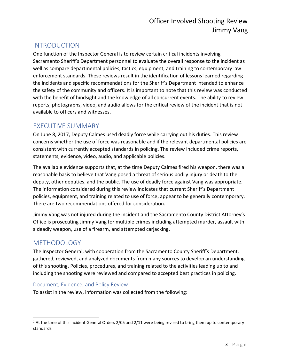## <span id="page-2-0"></span>INTRODUCTION

One function of the Inspector General is to review certain critical incidents involving Sacramento Sheriff's Department personnel to evaluate the overall response to the incident as well as compare departmental policies, tactics, equipment, and training to contemporary law enforcement standards. These reviews result in the identification of lessons learned regarding the incidents and specific recommendations for the Sheriff's Department intended to enhance the safety of the community and officers. It is important to note that this review was conducted with the benefit of hindsight and the knowledge of all concurrent events. The ability to review reports, photographs, video, and audio allows for the critical review of the incident that is not available to officers and witnesses.

## <span id="page-2-1"></span>EXECUTIVE SUMMARY

On June 8, 2017, Deputy Calmes used deadly force while carrying out his duties. This review concerns whether the use of force was reasonable and if the relevant departmental policies are consistent with currently accepted standards in policing. The review included crime reports, statements, evidence, video, audio, and applicable policies.

The available evidence supports that, at the time Deputy Calmes fired his weapon, there was a reasonable basis to believe that Vang posed a threat of serious bodily injury or death to the deputy, other deputies, and the public. The use of deadly force against Vang was appropriate. The information considered during this review indicates that current Sheriff's Department policies, equipment, and training related to use of force, appear to be generally contemporary.<sup>1</sup> There are two recommendations offered for consideration.

Jimmy Vang was not injured during the incident and the Sacramento County District Attorney's Office is prosecuting Jimmy Vang for multiple crimes including attempted murder, assault with a deadly weapon, use of a firearm, and attempted carjacking.

## <span id="page-2-2"></span>**METHODOLOGY**

 $\overline{\phantom{a}}$ 

The Inspector General, with cooperation from the Sacramento County Sheriff's Department, gathered, reviewed, and analyzed documents from many sources to develop an understanding of this shooting. Policies, procedures, and training related to the activities leading up to and including the shooting were reviewed and compared to accepted best practices in policing.

#### <span id="page-2-3"></span>Document, Evidence, and Policy Review

To assist in the review, information was collected from the following:

 $1$  At the time of this incident General Orders 2/05 and 2/11 were being revised to bring them up to contemporary standards.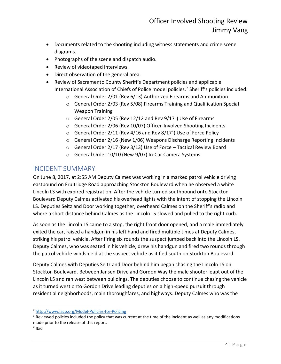- Documents related to the shooting including witness statements and crime scene diagrams.
- Photographs of the scene and dispatch audio.
- Review of videotaped interviews.
- Direct observation of the general area.
- Review of Sacramento County Sheriff's Department policies and applicable International Association of Chiefs of Police model policies.<sup>2</sup> Sheriff's policies included:
	- o General Order 2/01 (Rev 6/13) Authorized Firearms and Ammunition
	- $\circ$  General Order 2/03 (Rev 5/08) Firearms Training and Qualification Special Weapon Training
	- $\circ$  General Order 2/05 (Rev 12/12 and Rev 9/17<sup>3</sup>) Use of Firearms
	- o General Order 2/06 (Rev 10/07) Officer-Involved Shooting Incidents
	- $\circ$  General Order 2/11 (Rev 4/16 and Rev 8/17<sup>4</sup>) Use of Force Policy
	- o General Order 2/16 (New 1/06) Weapons Discharge Reporting Incidents
	- o General Order 2/17 (Rev 3/13) Use of Force Tactical Review Board
	- o General Order 10/10 (New 9/07) In-Car Camera Systems

## <span id="page-3-0"></span>INCIDENT SUMMARY

On June 8, 2017, at 2:55 AM Deputy Calmes was working in a marked patrol vehicle driving eastbound on Fruitridge Road approaching Stockton Boulevard when he observed a white Lincoln LS with expired registration. After the vehicle turned southbound onto Stockton Boulevard Deputy Calmes activated his overhead lights with the intent of stopping the Lincoln LS. Deputies Seitz and Door working together, overheard Calmes on the Sheriff's radio and where a short distance behind Calmes as the Lincoln LS slowed and pulled to the right curb.

As soon as the Lincoln LS came to a stop, the right front door opened, and a male immediately exited the car, raised a handgun in his left hand and fired multiple times at Deputy Calmes, striking his patrol vehicle. After firing six rounds the suspect jumped back into the Lincoln LS. Deputy Calmes, who was seated in his vehicle, drew his handgun and fired two rounds through the patrol vehicle windshield at the suspect vehicle as it fled south on Stockton Boulevard.

Deputy Calmes with Deputies Seitz and Door behind him began chasing the Lincoln LS on Stockton Boulevard. Between Jansen Drive and Gordon Way the male shooter leapt out of the Lincoln LS and ran west between buildings. The deputies choose to continue chasing the vehicle as it turned west onto Gordon Drive leading deputies on a high-speed pursuit through residential neighborhoods, main thoroughfares, and highways. Deputy Calmes who was the

 $\overline{a}$ <sup>2</sup> <http://www.iacp.org/Model-Policies-for-Policing>

 $3$  Reviewed policies included the policy that was current at the time of the incident as well as any modifications made prior to the release of this report.

<sup>4</sup> Ibid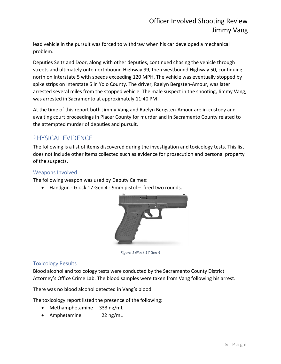lead vehicle in the pursuit was forced to withdraw when his car developed a mechanical problem.

Deputies Seitz and Door, along with other deputies, continued chasing the vehicle through streets and ultimately onto northbound Highway 99, then westbound Highway 50, continuing north on Interstate 5 with speeds exceeding 120 MPH. The vehicle was eventually stopped by spike strips on Interstate 5 in Yolo County. The driver, Raelyn Bergsten-Amour, was later arrested several miles from the stopped vehicle. The male suspect in the shooting, Jimmy Vang, was arrested in Sacramento at approximately 11:40 PM.

At the time of this report both Jimmy Vang and Raelyn Bergsten-Amour are in-custody and awaiting court proceedings in Placer County for murder and in Sacramento County related to the attempted murder of deputies and pursuit.

#### <span id="page-4-0"></span>PHYSICAL EVIDENCE

The following is a list of items discovered during the investigation and toxicology tests. This list does not include other items collected such as evidence for prosecution and personal property of the suspects.

#### <span id="page-4-1"></span>Weapons Involved

The following weapon was used by Deputy Calmes:

• Handgun - Glock 17 Gen 4 - 9mm pistol – fired two rounds.



*Figure 1 Glock 17 Gen 4*

#### <span id="page-4-2"></span>Toxicology Results

Blood alcohol and toxicology tests were conducted by the Sacramento County District Attorney's Office Crime Lab. The blood samples were taken from Vang following his arrest.

There was no blood alcohol detected in Vang's blood.

The toxicology report listed the presence of the following:

- Methamphetamine 333 ng/mL
- Amphetamine 22 ng/mL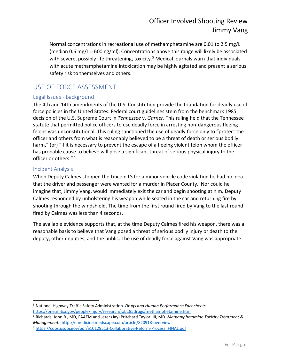Normal concentrations in recreational use of methamphetamine are 0.01 to 2.5 mg/L (median 0.6 mg/L = 600 ng/ml). Concentrations above this range will likely be associated with severe, possibly life threatening, toxicity.<sup>5</sup> Medical journals warn that individuals with acute methamphetamine intoxication may be highly agitated and present a serious safety risk to themselves and others.<sup>6</sup>

## <span id="page-5-0"></span>USE OF FORCE ASSESSMENT

#### <span id="page-5-1"></span>Legal Issues - Background

The 4th and 14th amendments of the U.S. Constitution provide the foundation for deadly use of force policies in the United States. Federal court guidelines stem from the benchmark 1985 decision of the U.S. Supreme Court in *Tennessee* v. *Garner*. This ruling held that the Tennessee statute that permitted police officers to use deadly force in arresting non-dangerous fleeing felons was unconstitutional. This ruling sanctioned the use of deadly force only to "protect the officer and others from what is reasonably believed to be a threat of death or serious bodily harm," (or) "if it is necessary to prevent the escape of a fleeing violent felon whom the officer has probable cause to believe will pose a significant threat of serious physical injury to the officer or others."<sup>7</sup>

#### <span id="page-5-2"></span>Incident Analysis

When Deputy Calmes stopped the Lincoln LS for a minor vehicle code violation he had no idea that the driver and passenger were wanted for a murder in Placer County. Nor could he imagine that, Jimmy Vang, would immediately exit the car and begin shooting at him. Deputy Calmes responded by unholstering his weapon while seated in the car and returning fire by shooting through the windshield. The time from the first round fired by Vang to the last round fired by Calmes was less than 4 seconds.

The available evidence supports that, at the time Deputy Calmes fired his weapon, there was a reasonable basis to believe that Vang posed a threat of serious bodily injury or death to the deputy, other deputies, and the public. The use of deadly force against Vang was appropriate.

 $\overline{\phantom{a}}$ <sup>5</sup> National Highway Traffic Safety Administration. *Drugs and Human Performance Fact sheets*. <https://one.nhtsa.gov/people/injury/research/job185drugs/methamphetamine.htm>

<sup>6</sup> Richards, John R., MD, FAAEM and Jeter (Jay) Pritchard Taylor, III, MD*. Methamphetamine Toxicity Treatment & Management.* <http://emedicine.medscape.com/article/820918-overview>

<sup>7</sup> [https://cops.usdoj.gov/pdf/e10129513-Collaborative-Reform-Process\\_FINAL.pdf](https://cops.usdoj.gov/pdf/e10129513-Collaborative-Reform-Process_FINAL.pdf)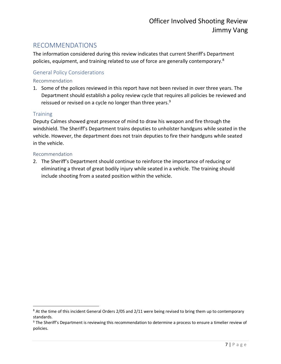#### <span id="page-6-0"></span>RECOMMENDATIONS

The information considered during this review indicates that current Sheriff's Department policies, equipment, and training related to use of force are generally contemporary.<sup>8</sup>

#### <span id="page-6-1"></span>General Policy Considerations

#### <span id="page-6-2"></span>Recommendation

1. Some of the polices reviewed in this report have not been revised in over three years. The Department should establish a policy review cycle that requires all policies be reviewed and reissued or revised on a cycle no longer than three years.<sup>9</sup>

#### <span id="page-6-3"></span>**Training**

 $\overline{a}$ 

Deputy Calmes showed great presence of mind to draw his weapon and fire through the windshield. The Sheriff's Department trains deputies to unholster handguns while seated in the vehicle. However, the department does not train deputies to fire their handguns while seated in the vehicle.

#### <span id="page-6-4"></span>Recommendation

2. The Sheriff's Department should continue to reinforce the importance of reducing or eliminating a threat of great bodily injury while seated in a vehicle. The training should include shooting from a seated position within the vehicle.

<sup>&</sup>lt;sup>8</sup> At the time of this incident General Orders 2/05 and 2/11 were being revised to bring them up to contemporary standards.

<sup>&</sup>lt;sup>9</sup> The Sheriff's Department is reviewing this recommendation to determine a process to ensure a timelier review of policies.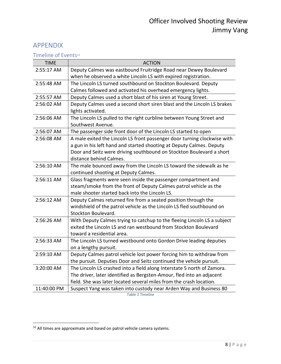#### <span id="page-7-0"></span>APPENDIX

<span id="page-7-1"></span>Timeline of Events<sup>10</sup>

| <b>TIME</b> | <b>ACTION</b>                                                            |
|-------------|--------------------------------------------------------------------------|
| 2:55:17 AM  | Deputy Calmes was eastbound Fruitridge Road near Dewey Boulevard         |
|             | when he observed a white Lincoln LS with expired registration.           |
| 2:55:48 AM  | The Lincoln LS turned southbound on Stockton Boulevard. Deputy           |
|             | Calmes followed and activated his overhead emergency lights.             |
| 2:55:57 AM  | Deputy Calmes used a short blast of his siren at Young Street.           |
| 2:56:02 AM  | Deputy Calmes used a second short siren blast and the Lincoln LS brakes  |
|             | lights activated.                                                        |
| 2:56:06 AM  | The Lincoln LS pulled to the right curbline between Young Street and     |
|             | Southwest Avenue.                                                        |
| 2:56:07 AM  | The passenger side front door of the Lincoln LS started to open          |
| 2:56:08 AM  | A male exited the Lincoln LS front passenger door turning clockwise with |
|             | a gun in his left hand and started shooting at Deputy Calmes. Deputy     |
|             | Door and Seitz were driving southbound on Stockton Boulevard a short     |
|             | distance behind Calmes.                                                  |
| 2:56:10 AM  | The male bounced away from the Lincoln LS toward the sidewalk as he      |
|             | continued shooting at Deputy Calmes.                                     |
| 2:56:11 AM  | Glass fragments were seen inside the passenger compartment and           |
|             | steam/smoke from the front of Deputy Calmes patrol vehicle as the        |
|             | male shooter started back into the Lincoln LS.                           |
| 2:56:12 AM  | Deputy Calmes returned fire from a seated position through the           |
|             | windshield of the patrol vehicle as the Lincoln LS fled southbound on    |
|             | Stockton Boulevard.                                                      |
| 2:56:26 AM  | With Deputy Calmes trying to catchup to the fleeing Lincoln LS a subject |
|             | exited the Lincoln LS and ran westbound from Stockton Boulevard          |
|             | toward a residential area.                                               |
| 2:56:33 AM  | The Lincoln LS turned westbound onto Gordon Drive leading deputies       |
|             | on a lengthy pursuit.                                                    |
| 2:59:10 AM  | Deputy Calmes patrol vehicle lost power forcing him to withdraw from     |
|             | the pursuit. Deputies Door and Seitz continued the vehicle pursuit.      |
| 3:20:00 AM  | The Lincoln LS crashed into a field along Interstate 5 north of Zamora.  |
|             | The driver, later identified as Bergsten-Amour, fled into an adjacent    |
|             | field. She was later located several miles from the crash location.      |
| 11:40:00 PM | Suspect Yang was taken into custody near Arden Way and Business 80       |

*Table 1 Timeline*

 $\overline{\phantom{a}}$ 

 $10$  All times are approximate and based on patrol vehicle camera systems.